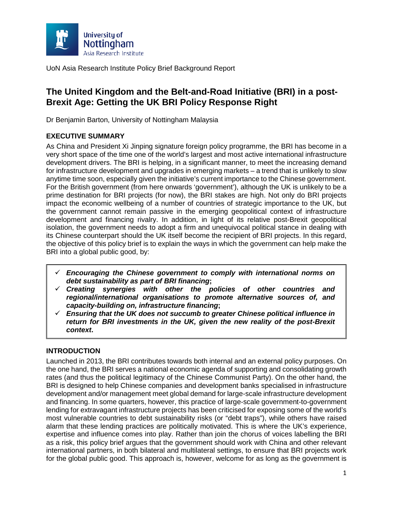

# **The United Kingdom and the Belt-and-Road Initiative (BRI) in a post-Brexit Age: Getting the UK BRI Policy Response Right**

Dr Benjamin Barton, University of Nottingham Malaysia

# **EXECUTIVE SUMMARY**

As China and President Xi Jinping signature foreign policy programme, the BRI has become in a very short space of the time one of the world's largest and most active international infrastructure development drivers. The BRI is helping, in a significant manner, to meet the increasing demand for infrastructure development and upgrades in emerging markets – a trend that is unlikely to slow anytime time soon, especially given the initiative's current importance to the Chinese government. For the British government (from here onwards 'government'), although the UK is unlikely to be a prime destination for BRI projects (for now), the BRI stakes are high. Not only do BRI projects impact the economic wellbeing of a number of countries of strategic importance to the UK, but the government cannot remain passive in the emerging geopolitical context of infrastructure development and financing rivalry. In addition, in light of its relative post-Brexit geopolitical isolation, the government needs to adopt a firm and unequivocal political stance in dealing with its Chinese counterpart should the UK itself become the recipient of BRI projects. In this regard, the objective of this policy brief is to explain the ways in which the government can help make the BRI into a global public good, by:

- *Encouraging the Chinese government to comply with international norms on debt sustainability as part of BRI financing***;**
- *Creating synergies with other the policies of other countries and regional/international organisations to promote alternative sources of, and capacity-building on, infrastructure financing***;**
- *Ensuring that the UK does not succumb to greater Chinese political influence in return for BRI investments in the UK, given the new reality of the post-Brexit context***.**

# **INTRODUCTION**

Launched in 2013, the BRI contributes towards both internal and an external policy purposes. On the one hand, the BRI serves a national economic agenda of supporting and consolidating growth rates (and thus the political legitimacy of the Chinese Communist Party). On the other hand, the BRI is designed to help Chinese companies and development banks specialised in infrastructure development and/or management meet global demand for large-scale infrastructure development and financing. In some quarters, however, this practice of large-scale government-to-government lending for extravagant infrastructure projects has been criticised for exposing some of the world's most vulnerable countries to debt sustainability risks (or "debt traps"), while others have raised alarm that these lending practices are politically motivated. This is where the UK's experience, expertise and influence comes into play. Rather than join the chorus of voices labelling the BRI as a risk, this policy brief argues that the government should work with China and other relevant international partners, in both bilateral and multilateral settings, to ensure that BRI projects work for the global public good. This approach is, however, welcome for as long as the government is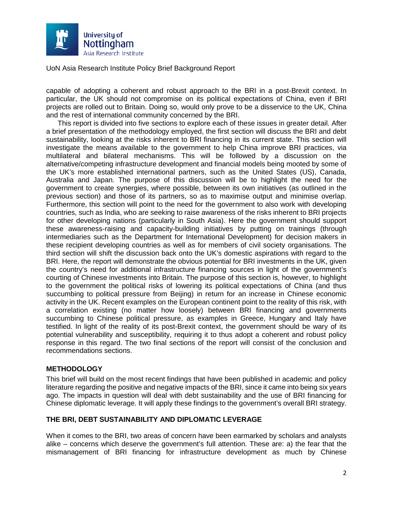

capable of adopting a coherent and robust approach to the BRI in a post-Brexit context. In particular, the UK should not compromise on its political expectations of China, even if BRI projects are rolled out to Britain. Doing so, would only prove to be a disservice to the UK, China and the rest of international community concerned by the BRI.

This report is divided into five sections to explore each of these issues in greater detail. After a brief presentation of the methodology employed, the first section will discuss the BRI and debt sustainability, looking at the risks inherent to BRI financing in its current state. This section will investigate the means available to the government to help China improve BRI practices, via multilateral and bilateral mechanisms. This will be followed by a discussion on the alternative/competing infrastructure development and financial models being mooted by some of the UK's more established international partners, such as the United States (US), Canada, Australia and Japan. The purpose of this discussion will be to highlight the need for the government to create synergies, where possible, between its own initiatives (as outlined in the previous section) and those of its partners, so as to maximise output and minimise overlap. Furthermore, this section will point to the need for the government to also work with developing countries, such as India, who are seeking to raise awareness of the risks inherent to BRI projects for other developing nations (particularly in South Asia). Here the government should support these awareness-raising and capacity-building initiatives by putting on trainings (through intermediaries such as the Department for International Development) for decision makers in these recipient developing countries as well as for members of civil society organisations. The third section will shift the discussion back onto the UK's domestic aspirations with regard to the BRI. Here, the report will demonstrate the obvious potential for BRI investments in the UK, given the country's need for additional infrastructure financing sources in light of the government's courting of Chinese investments into Britain. The purpose of this section is, however, to highlight to the government the political risks of lowering its political expectations of China (and thus succumbing to political pressure from Beijing) in return for an increase in Chinese economic activity in the UK. Recent examples on the European continent point to the reality of this risk, with a correlation existing (no matter how loosely) between BRI financing and governments succumbing to Chinese political pressure, as examples in Greece, Hungary and Italy have testified. In light of the reality of its post-Brexit context, the government should be wary of its potential vulnerability and susceptibility, requiring it to thus adopt a coherent and robust policy response in this regard. The two final sections of the report will consist of the conclusion and recommendations sections.

## **METHODOLOGY**

This brief will build on the most recent findings that have been published in academic and policy literature regarding the positive and negative impacts of the BRI, since it came into being six years ago. The impacts in question will deal with debt sustainability and the use of BRI financing for Chinese diplomatic leverage. It will apply these findings to the government's overall BRI strategy.

## **THE BRI, DEBT SUSTAINABILITY AND DIPLOMATIC LEVERAGE**

When it comes to the BRI, two areas of concern have been earmarked by scholars and analysts alike – concerns which deserve the government's full attention. These are: a) the fear that the mismanagement of BRI financing for infrastructure development as much by Chinese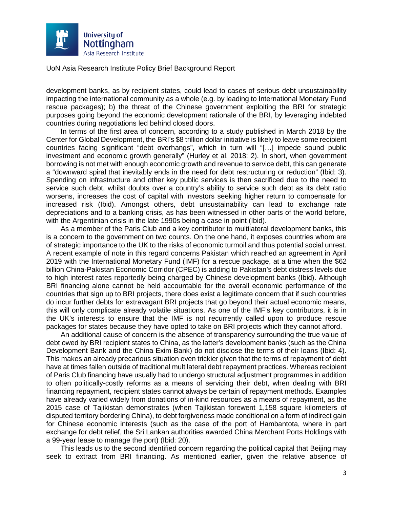

development banks, as by recipient states, could lead to cases of serious debt unsustainability impacting the international community as a whole (e.g. by leading to International Monetary Fund rescue packages); b) the threat of the Chinese government exploiting the BRI for strategic purposes going beyond the economic development rationale of the BRI, by leveraging indebted countries during negotiations led behind closed doors.

In terms of the first area of concern, according to a study published in March 2018 by the Center for Global Development, the BRI's \$8 trillion dollar initiative is likely to leave some recipient countries facing significant "debt overhangs", which in turn will "[…] impede sound public investment and economic growth generally" (Hurley et al. 2018: 2). In short, when government borrowing is not met with enough economic growth and revenue to service debt, this can generate a "downward spiral that inevitably ends in the need for debt restructuring or reduction" (Ibid: 3). Spending on infrastructure and other key public services is then sacrificed due to the need to service such debt, whilst doubts over a country's ability to service such debt as its debt ratio worsens, increases the cost of capital with investors seeking higher return to compensate for increased risk (Ibid). Amongst others, debt unsustainability can lead to exchange rate depreciations and to a banking crisis, as has been witnessed in other parts of the world before, with the Argentinian crisis in the late 1990s being a case in point (Ibid).

As a member of the Paris Club and a key contributor to multilateral development banks, this is a concern to the government on two counts. On the one hand, it exposes countries whom are of strategic importance to the UK to the risks of economic turmoil and thus potential social unrest. A recent example of note in this regard concerns Pakistan which reached an agreement in April 2019 with the International Monetary Fund (IMF) for a rescue package, at a time when the \$62 billion China-Pakistan Economic Corridor (CPEC) is adding to Pakistan's debt distress levels due to high interest rates reportedly being charged by Chinese development banks (Ibid). Although BRI financing alone cannot be held accountable for the overall economic performance of the countries that sign up to BRI projects, there does exist a legitimate concern that if such countries do incur further debts for extravagant BRI projects that go beyond their actual economic means, this will only complicate already volatile situations. As one of the IMF's key contributors, it is in the UK's interests to ensure that the IMF is not recurrently called upon to produce rescue packages for states because they have opted to take on BRI projects which they cannot afford.

An additional cause of concern is the absence of transparency surrounding the true value of debt owed by BRI recipient states to China, as the latter's development banks (such as the China Development Bank and the China Exim Bank) do not disclose the terms of their loans (Ibid: 4). This makes an already precarious situation even trickier given that the terms of repayment of debt have at times fallen outside of traditional multilateral debt repayment practices. Whereas recipient of Paris Club financing have usually had to undergo structural adjustment programmes in addition to often politically-costly reforms as a means of servicing their debt, when dealing with BRI financing repayment, recipient states cannot always be certain of repayment methods. Examples have already varied widely from donations of in-kind resources as a means of repayment, as the 2015 case of Tajikistan demonstrates (when Tajikistan forewent 1,158 square kilometers of disputed territory bordering China), to debt forgiveness made conditional on a form of indirect gain for Chinese economic interests (such as the case of the port of Hambantota, where in part exchange for debt relief, the Sri Lankan authorities awarded China Merchant Ports Holdings with a 99-year lease to manage the port) (Ibid: 20).

This leads us to the second identified concern regarding the political capital that Beijing may seek to extract from BRI financing. As mentioned earlier, given the relative absence of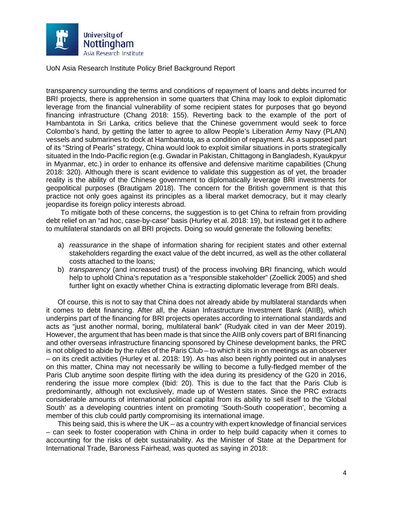

transparency surrounding the terms and conditions of repayment of loans and debts incurred for BRI projects, there is apprehension in some quarters that China may look to exploit diplomatic leverage from the financial vulnerability of some recipient states for purposes that go beyond financing infrastructure (Chang 2018: 155). Reverting back to the example of the port of Hambantota in Sri Lanka, critics believe that the Chinese government would seek to force Colombo's hand, by getting the latter to agree to allow People's Liberation Army Navy (PLAN) vessels and submarines to dock at Hambantota, as a condition of repayment. As a supposed part of its "String of Pearls" strategy, China would look to exploit similar situations in ports strategically situated in the Indo-Pacific region (e.g. Gwadar in Pakistan, Chittagong in Bangladesh, Kyaukpyur in Myanmar, etc.) in order to enhance its offensive and defensive maritime capabilities (Chung 2018: 320). Although there is scant evidence to validate this suggestion as of yet, the broader reality is the ability of the Chinese government to diplomatically leverage BRI investments for geopolitical purposes (Brautigam 2018). The concern for the British government is that this practice not only goes against its principles as a liberal market democracy, but it may clearly jeopardise its foreign policy interests abroad.

To mitigate both of these concerns, the suggestion is to get China to refrain from providing debt relief on an "ad hoc, case-by-case" basis (Hurley et al. 2018: 19), but instead get it to adhere to multilateral standards on all BRI projects. Doing so would generate the following benefits:

- a) *reassurance* in the shape of information sharing for recipient states and other external stakeholders regarding the exact value of the debt incurred, as well as the other collateral costs attached to the loans;
- b) *transparency* (and increased trust) of the process involving BRI financing, which would help to uphold China's reputation as a "responsible stakeholder" (Zoellick 2005) and shed further light on exactly whether China is extracting diplomatic leverage from BRI deals.

Of course, this is not to say that China does not already abide by multilateral standards when it comes to debt financing. After all, the Asian Infrastructure Investment Bank (AIIB), which underpins part of the financing for BRI projects operates according to international standards and acts as "just another normal, boring, multilateral bank" (Rudyak cited in van der Meer 2019). However, the argument that has been made is that since the AIIB only covers part of BRI financing and other overseas infrastructure financing sponsored by Chinese development banks, the PRC is not obliged to abide by the rules of the Paris Club – to which it sits in on meetings as an observer – on its credit activities (Hurley et al. 2018: 19). As has also been rightly pointed out in analyses on this matter, China may not necessarily be willing to become a fully-fledged member of the Paris Club anytime soon despite flirting with the idea during its presidency of the G20 in 2016, rendering the issue more complex (Ibid: 20). This is due to the fact that the Paris Club is predominantly, although not exclusively, made up of Western states. Since the PRC extracts considerable amounts of international political capital from its ability to sell itself to the 'Global South' as a developing countries intent on promoting 'South-South cooperation', becoming a member of this club could partly compromising its international image.

This being said, this is where the UK – as a country with expert knowledge of financial services – can seek to foster cooperation with China in order to help build capacity when it comes to accounting for the risks of debt sustainability. As the Minister of State at the Department for International Trade, Baroness Fairhead, was quoted as saying in 2018: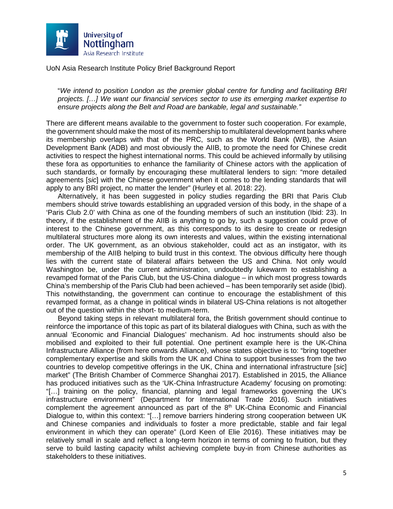

"*We intend to position London as the premier global centre for funding and facilitating BRI projects. […] We want our financial services sector to use its emerging market expertise to ensure projects along the Belt and Road are bankable, legal and sustainable."*

There are different means available to the government to foster such cooperation. For example, the government should make the most of its membership to multilateral development banks where its membership overlaps with that of the PRC, such as the World Bank (WB), the Asian Development Bank (ADB) and most obviously the AIIB, to promote the need for Chinese credit activities to respect the highest international norms. This could be achieved informally by utilising these fora as opportunities to enhance the familiarity of Chinese actors with the application of such standards, or formally by encouraging these multilateral lenders to sign: "more detailed agreements [*sic*] with the Chinese government when it comes to the lending standards that will apply to any BRI project, no matter the lender" (Hurley et al. 2018: 22).

Alternatively, it has been suggested in policy studies regarding the BRI that Paris Club members should strive towards establishing an upgraded version of this body, in the shape of a 'Paris Club 2.0' with China as one of the founding members of such an institution (Ibid: 23). In theory, if the establishment of the AIIB is anything to go by, such a suggestion could prove of interest to the Chinese government, as this corresponds to its desire to create or redesign multilateral structures more along its own interests and values, within the existing international order. The UK government, as an obvious stakeholder, could act as an instigator, with its membership of the AIIB helping to build trust in this context. The obvious difficulty here though lies with the current state of bilateral affairs between the US and China. Not only would Washington be, under the current administration, undoubtedly lukewarm to establishing a revamped format of the Paris Club, but the US-China dialogue – in which most progress towards China's membership of the Paris Club had been achieved – has been temporarily set aside (Ibid). This notwithstanding, the government can continue to encourage the establishment of this revamped format, as a change in political winds in bilateral US-China relations is not altogether out of the question within the short- to medium-term.

Beyond taking steps in relevant multilateral fora, the British government should continue to reinforce the importance of this topic as part of its bilateral dialogues with China, such as with the annual 'Economic and Financial Dialogues' mechanism. Ad hoc instruments should also be mobilised and exploited to their full potential. One pertinent example here is the UK-China Infrastructure Alliance (from here onwards Alliance), whose states objective is to: "bring together complementary expertise and skills from the UK and China to support businesses from the two countries to develop competitive offerings in the UK, China and international infrastructure [*sic*] market" (The British Chamber of Commerce Shanghai 2017). Established in 2015, the Alliance has produced initiatives such as the 'UK-China Infrastructure Academy' focusing on promoting: "[…] training on the policy, financial, planning and legal frameworks governing the UK's infrastructure environment" (Department for International Trade 2016). Such initiatives complement the agreement announced as part of the  $8<sup>th</sup>$  UK-China Economic and Financial Dialogue to, within this context: "[…] remove barriers hindering strong cooperation between UK and Chinese companies and individuals to foster a more predictable, stable and fair legal environment in which they can operate" (Lord Keen of Elie 2016). These initiatives may be relatively small in scale and reflect a long-term horizon in terms of coming to fruition, but they serve to build lasting capacity whilst achieving complete buy-in from Chinese authorities as stakeholders to these initiatives.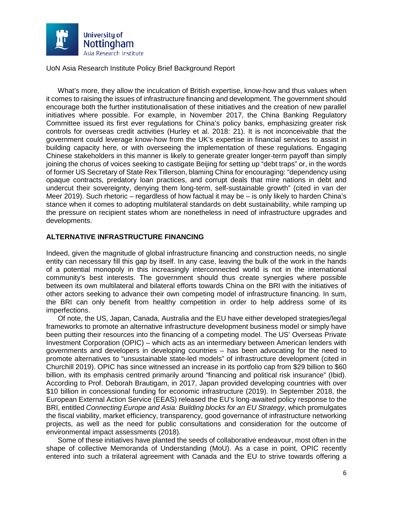

What's more, they allow the inculcation of British expertise, know-how and thus values when it comes to raising the issues of infrastructure financing and development. The government should encourage both the further institutionalisation of these initiatives and the creation of new parallel initiatives where possible. For example, in November 2017, the China Banking Regulatory Committee issued its first ever regulations for China's policy banks, emphasizing greater risk controls for overseas credit activities (Hurley et al. 2018: 21). It is not inconceivable that the government could leverage know-how from the UK's expertise in financial services to assist in building capacity here, or with overseeing the implementation of these regulations. Engaging Chinese stakeholders in this manner is likely to generate greater longer-term payoff than simply joining the chorus of voices seeking to castigate Beijing for setting up "debt traps" or, in the words of former US Secretary of State Rex Tillerson, blaming China for encouraging: "dependency using opaque contracts, predatory loan practices, and corrupt deals that mire nations in debt and undercut their sovereignty, denying them long-term, self-sustainable growth" (cited in van der Meer 2019). Such rhetoric – regardless of how factual it may be – is only likely to harden China's stance when it comes to adopting multilateral standards on debt sustainability, while ramping up the pressure on recipient states whom are nonetheless in need of infrastructure upgrades and developments.

## **ALTERNATIVE INFRASTRUCTURE FINANCING**

Indeed, given the magnitude of global infrastructure financing and construction needs, no single entity can necessary fill this gap by itself. In any case, leaving the bulk of the work in the hands of a potential monopoly in this increasingly interconnected world is not in the international community's best interests. The government should thus create synergies where possible between its own multilateral and bilateral efforts towards China on the BRI with the initiatives of other actors seeking to advance their own competing model of infrastructure financing. In sum, the BRI can only benefit from healthy competition in order to help address some of its imperfections.

Of note, the US, Japan, Canada, Australia and the EU have either developed strategies/legal frameworks to promote an alternative infrastructure development business model or simply have been putting their resources into the financing of a competing model. The US' Overseas Private Investment Corporation (OPIC) – which acts as an intermediary between American lenders with governments and developers in developing countries – has been advocating for the need to promote alternatives to "unsustainable state-led models" of infrastructure development (cited in Churchill 2019). OPIC has since witnessed an increase in its portfolio cap from \$29 billion to \$60 billion, with its emphasis centred primarily around "financing and political risk insurance" (Ibid). According to Prof. Deborah Brautigam, in 2017, Japan provided developing countries with over \$10 billion in concessional funding for economic infrastructure (2019). In September 2018, the European External Action Service (EEAS) released the EU's long-awaited policy response to the BRI, entitled *Connecting Europe and Asia: Building blocks for an EU Strategy*, which promulgates the fiscal viability, market efficiency, transparency, good governance of infrastructure networking projects, as well as the need for public consultations and consideration for the outcome of environmental impact assessments (2018).

Some of these initiatives have planted the seeds of collaborative endeavour, most often in the shape of collective Memoranda of Understanding (MoU). As a case in point, OPIC recently entered into such a trilateral agreement with Canada and the EU to strive towards offering a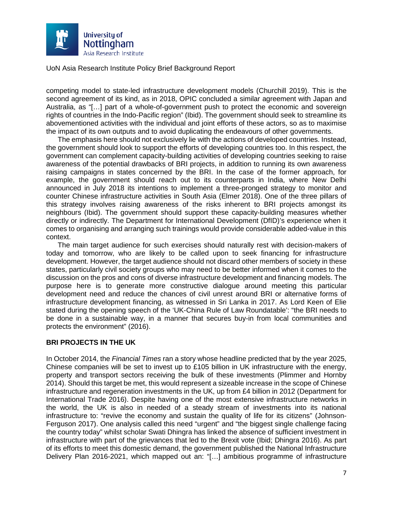

competing model to state-led infrastructure development models (Churchill 2019). This is the second agreement of its kind, as in 2018, OPIC concluded a similar agreement with Japan and Australia, as "[…] part of a whole-of-government push to protect the economic and sovereign rights of countries in the Indo-Pacific region" (Ibid). The government should seek to streamline its abovementioned activities with the individual and joint efforts of these actors, so as to maximise the impact of its own outputs and to avoid duplicating the endeavours of other governments.

The emphasis here should not exclusively lie with the actions of developed countries. Instead, the government should look to support the efforts of developing countries too. In this respect, the government can complement capacity-building activities of developing countries seeking to raise awareness of the potential drawbacks of BRI projects, in addition to running its own awareness raising campaigns in states concerned by the BRI. In the case of the former approach, for example, the government should reach out to its counterparts in India, where New Delhi announced in July 2018 its intentions to implement a three-pronged strategy to monitor and counter Chinese infrastructure activities in South Asia (Elmer 2018). One of the three pillars of this strategy involves raising awareness of the risks inherent to BRI projects amongst its neighbours (Ibid). The government should support these capacity-building measures whether directly or indirectly. The Department for International Development (DfID)'s experience when it comes to organising and arranging such trainings would provide considerable added-value in this context.

The main target audience for such exercises should naturally rest with decision-makers of today and tomorrow, who are likely to be called upon to seek financing for infrastructure development. However, the target audience should not discard other members of society in these states, particularly civil society groups who may need to be better informed when it comes to the discussion on the pros and cons of diverse infrastructure development and financing models. The purpose here is to generate more constructive dialogue around meeting this particular development need and reduce the chances of civil unrest around BRI or alternative forms of infrastructure development financing, as witnessed in Sri Lanka in 2017. As Lord Keen of Elie stated during the opening speech of the 'UK-China Rule of Law Roundatable': "the BRI needs to be done in a sustainable way, in a manner that secures buy-in from local communities and protects the environment" (2016).

## **BRI PROJECTS IN THE UK**

In October 2014, the *Financial Times* ran a story whose headline predicted that by the year 2025, Chinese companies will be set to invest up to £105 billion in UK infrastructure with the energy, property and transport sectors receiving the bulk of these investments (Plimmer and Hornby 2014). Should this target be met, this would represent a sizeable increase in the scope of Chinese infrastructure and regeneration investments in the UK, up from £4 billion in 2012 (Department for International Trade 2016). Despite having one of the most extensive infrastructure networks in the world, the UK is also in needed of a steady stream of investments into its national infrastructure to: "revive the economy and sustain the quality of life for its citizens" (Johnson-Ferguson 2017). One analysis called this need "urgent" and "the biggest single challenge facing the country today" whilst scholar Swati Dhingra has linked the absence of sufficient investment in infrastructure with part of the grievances that led to the Brexit vote (Ibid; Dhingra 2016). As part of its efforts to meet this domestic demand, the government published the National Infrastructure Delivery Plan 2016-2021, which mapped out an: "[…] ambitious programme of infrastructure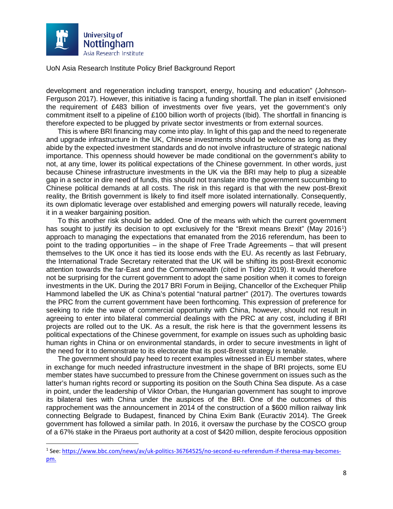

development and regeneration including transport, energy, housing and education" (Johnson-Ferguson 2017). However, this initiative is facing a funding shortfall. The plan in itself envisioned the requirement of £483 billion of investments over five years, yet the government's only commitment itself to a pipeline of £100 billion worth of projects (Ibid). The shortfall in financing is therefore expected to be plugged by private sector investments or from external sources.

This is where BRI financing may come into play. In light of this gap and the need to regenerate and upgrade infrastructure in the UK, Chinese investments should be welcome as long as they abide by the expected investment standards and do not involve infrastructure of strategic national importance. This openness should however be made conditional on the government's ability to not, at any time, lower its political expectations of the Chinese government. In other words, just because Chinese infrastructure investments in the UK via the BRI may help to plug a sizeable gap in a sector in dire need of funds, this should not translate into the government succumbing to Chinese political demands at all costs. The risk in this regard is that with the new post-Brexit reality, the British government is likely to find itself more isolated internationally. Consequently, its own diplomatic leverage over established and emerging powers will naturally recede, leaving it in a weaker bargaining position.

To this another risk should be added. One of the means with which the current government has sought to justify its decision to opt exclusively for the "Brexit means Brexit" (May 20[1](#page-7-0)6<sup>1</sup>) approach to managing the expectations that emanated from the 2016 referendum, has been to point to the trading opportunities – in the shape of Free Trade Agreements – that will present themselves to the UK once it has tied its loose ends with the EU. As recently as last February, the International Trade Secretary reiterated that the UK will be shifting its post-Brexit economic attention towards the far-East and the Commonwealth (cited in Tidey 2019). It would therefore not be surprising for the current government to adopt the same position when it comes to foreign investments in the UK. During the 2017 BRI Forum in Beijing, Chancellor of the Exchequer Philip Hammond labelled the UK as China's potential "natural partner" (2017). The overtures towards the PRC from the current government have been forthcoming. This expression of preference for seeking to ride the wave of commercial opportunity with China, however, should not result in agreeing to enter into bilateral commercial dealings with the PRC at any cost, including if BRI projects are rolled out to the UK. As a result, the risk here is that the government lessens its political expectations of the Chinese government, for example on issues such as upholding basic human rights in China or on environmental standards, in order to secure investments in light of the need for it to demonstrate to its electorate that its post-Brexit strategy is tenable.

The government should pay heed to recent examples witnessed in EU member states, where in exchange for much needed infrastructure investment in the shape of BRI projects, some EU member states have succumbed to pressure from the Chinese government on issues such as the latter's human rights record or supporting its position on the South China Sea dispute. As a case in point, under the leadership of Viktor Orban, the Hungarian government has sought to improve its bilateral ties with China under the auspices of the BRI. One of the outcomes of this rapprochement was the announcement in 2014 of the construction of a \$600 million railway link connecting Belgrade to Budapest, financed by China Exim Bank (Euractiv 2014). The Greek government has followed a similar path. In 2016, it oversaw the purchase by the COSCO group of a 67% stake in the Piraeus port authority at a cost of \$420 million, despite ferocious opposition

<span id="page-7-0"></span> <sup>1</sup> See: [https://www.bbc.com/news/av/uk-politics-36764525/no-second-eu-referendum-if-theresa-may-becomes](https://www.bbc.com/news/av/uk-politics-36764525/no-second-eu-referendum-if-theresa-may-becomes-pm)[pm.](https://www.bbc.com/news/av/uk-politics-36764525/no-second-eu-referendum-if-theresa-may-becomes-pm)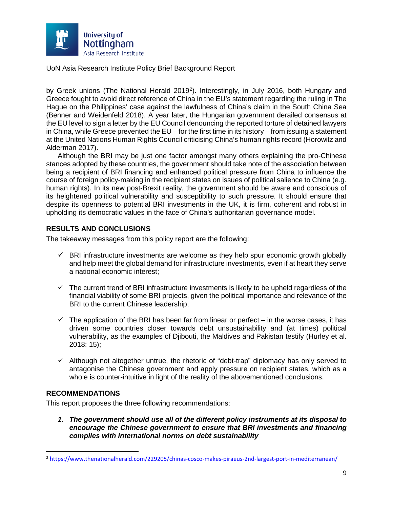

by Greek unions (The National Herald [2](#page-8-0)019<sup>2</sup>). Interestingly, in July 2016, both Hungary and Greece fought to avoid direct reference of China in the EU's statement regarding the ruling in The Hague on the Philippines' case against the lawfulness of China's claim in the South China Sea (Benner and Weidenfeld 2018). A year later, the Hungarian government derailed consensus at the EU level to sign a letter by the EU Council denouncing the reported torture of detained lawyers in China, while Greece prevented the EU – for the first time in its history – from issuing a statement at the United Nations Human Rights Council criticising China's human rights record (Horowitz and Alderman 2017).

Although the BRI may be just one factor amongst many others explaining the pro-Chinese stances adopted by these countries, the government should take note of the association between being a recipient of BRI financing and enhanced political pressure from China to influence the course of foreign policy-making in the recipient states on issues of political salience to China (e.g. human rights). In its new post-Brexit reality, the government should be aware and conscious of its heightened political vulnerability and susceptibility to such pressure. It should ensure that despite its openness to potential BRI investments in the UK, it is firm, coherent and robust in upholding its democratic values in the face of China's authoritarian governance model.

## **RESULTS AND CONCLUSIONS**

The takeaway messages from this policy report are the following:

- $\checkmark$  BRI infrastructure investments are welcome as they help spur economic growth globally and help meet the global demand for infrastructure investments, even if at heart they serve a national economic interest;
- $\checkmark$  The current trend of BRI infrastructure investments is likely to be upheld regardless of the financial viability of some BRI projects, given the political importance and relevance of the BRI to the current Chinese leadership;
- $\checkmark$  The application of the BRI has been far from linear or perfect in the worse cases, it has driven some countries closer towards debt unsustainability and (at times) political vulnerability, as the examples of Djibouti, the Maldives and Pakistan testify (Hurley et al. 2018: 15);
- $\checkmark$  Although not altogether untrue, the rhetoric of "debt-trap" diplomacy has only served to antagonise the Chinese government and apply pressure on recipient states, which as a whole is counter-intuitive in light of the reality of the abovementioned conclusions.

## **RECOMMENDATIONS**

This report proposes the three following recommendations:

*1. The government should use all of the different policy instruments at its disposal to encourage the Chinese government to ensure that BRI investments and financing complies with international norms on debt sustainability* 

<span id="page-8-0"></span> <sup>2</sup> <https://www.thenationalherald.com/229205/chinas-cosco-makes-piraeus-2nd-largest-port-in-mediterranean/>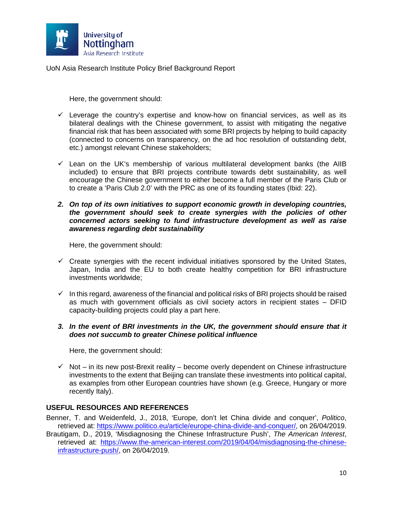

Here, the government should:

- $\checkmark$  Leverage the country's expertise and know-how on financial services, as well as its bilateral dealings with the Chinese government, to assist with mitigating the negative financial risk that has been associated with some BRI projects by helping to build capacity (connected to concerns on transparency, on the ad hoc resolution of outstanding debt, etc.) amongst relevant Chinese stakeholders;
- $\checkmark$  Lean on the UK's membership of various multilateral development banks (the AIIB included) to ensure that BRI projects contribute towards debt sustainability, as well encourage the Chinese government to either become a full member of the Paris Club or to create a 'Paris Club 2.0' with the PRC as one of its founding states (Ibid: 22).
- *2. On top of its own initiatives to support economic growth in developing countries, the government should seek to create synergies with the policies of other concerned actors seeking to fund infrastructure development as well as raise awareness regarding debt sustainability*

Here, the government should:

- $\checkmark$  Create synergies with the recent individual initiatives sponsored by the United States, Japan, India and the EU to both create healthy competition for BRI infrastructure investments worldwide;
- $\checkmark$  In this regard, awareness of the financial and political risks of BRI projects should be raised as much with government officials as civil society actors in recipient states – DFID capacity-building projects could play a part here.
- *3. In the event of BRI investments in the UK, the government should ensure that it does not succumb to greater Chinese political influence*

Here, the government should:

 $\checkmark$  Not – in its new post-Brexit reality – become overly dependent on Chinese infrastructure investments to the extent that Beijing can translate these investments into political capital, as examples from other European countries have shown (e.g. Greece, Hungary or more recently Italy).

## **USEFUL RESOURCES AND REFERENCES**

Benner, T. and Weidenfeld, J., 2018, 'Europe, don't let China divide and conquer', *Politico*, retrieved at: [https://www.politico.eu/article/europe-china-divide-and-conquer/,](https://www.politico.eu/article/europe-china-divide-and-conquer/) on 26/04/2019.

Brautigam, D., 2019, 'Misdiagnosing the Chinese Infrastructure Push', *The American Interest*, retrieved at: [https://www.the-american-interest.com/2019/04/04/misdiagnosing-the-chinese](https://www.the-american-interest.com/2019/04/04/misdiagnosing-the-chinese-infrastructure-push/)[infrastructure-push/,](https://www.the-american-interest.com/2019/04/04/misdiagnosing-the-chinese-infrastructure-push/) on 26/04/2019.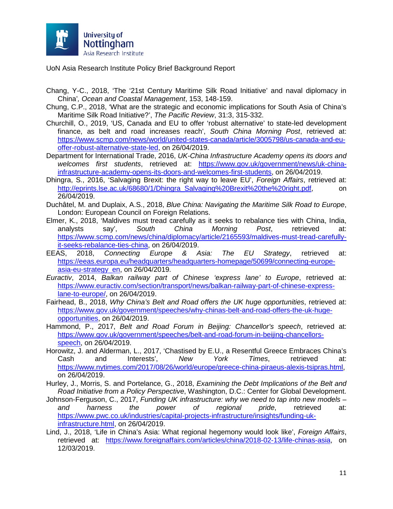

- Chang, Y-C., 2018, 'The '21st Century Maritime Silk Road Initiative' and naval diplomacy in China'*, Ocean and Coastal Management*, 153, 148-159.
- Chung, C.P., 2018, 'What are the strategic and economic implications for South Asia of China's Maritime Silk Road Initiative?', *The Pacific Review*, 31:3, 315-332.
- Churchill, O., 2019, 'US, Canada and EU to offer 'robust alternative' to state-led development finance, as belt and road increases reach', *South China Morning Post*, retrieved at: [https://www.scmp.com/news/world/united-states-canada/article/3005798/us-canada-and-eu](https://www.scmp.com/news/world/united-states-canada/article/3005798/us-canada-and-eu-offer-robust-alternative-state-led)[offer-robust-alternative-state-led,](https://www.scmp.com/news/world/united-states-canada/article/3005798/us-canada-and-eu-offer-robust-alternative-state-led) on 26/04/2019.
- Department for International Trade, 2016, *UK-China Infrastructure Academy opens its doors and welcomes first students*, retrieved at: [https://www.gov.uk/government/news/uk-china](https://www.gov.uk/government/news/uk-china-infrastructure-academy-opens-its-doors-and-welcomes-first-students)[infrastructure-academy-opens-its-doors-and-welcomes-first-students,](https://www.gov.uk/government/news/uk-china-infrastructure-academy-opens-its-doors-and-welcomes-first-students) on 26/04/2019.
- Dhingra, S., 2016, 'Salvaging Brexit: the right way to leave EU', *Foreign Affairs*, retrieved at: [http://eprints.lse.ac.uk/68680/1/Dhingra\\_Salvaging%20Brexit%20the%20right.pdf,](http://eprints.lse.ac.uk/68680/1/Dhingra_Salvaging%20Brexit%20the%20right.pdf) on 26/04/2019.
- Duchâtel, M. and Duplaix, A.S., 2018, *Blue China: Navigating the Maritime Silk Road to Europe*, London: European Council on Foreign Relations.
- Elmer, K., 2018, 'Maldives must tread carefully as it seeks to rebalance ties with China, India, analysts say', *South China Morning Post*, retrieved at: [https://www.scmp.com/news/china/diplomacy/article/2165593/maldives-must-tread-carefully](https://www.scmp.com/news/china/diplomacy/article/2165593/maldives-must-tread-carefully-it-seeks-rebalance-ties-china)[it-seeks-rebalance-ties-china,](https://www.scmp.com/news/china/diplomacy/article/2165593/maldives-must-tread-carefully-it-seeks-rebalance-ties-china) on 26/04/2019.
- EEAS, 2018, *Connecting Europe & Asia: The EU Strategy*, retrieved at: [https://eeas.europa.eu/headquarters/headquarters-homepage/50699/connecting-europe](https://eeas.europa.eu/headquarters/headquarters-homepage/50699/connecting-europe-asia-eu-strategy_en)[asia-eu-strategy\\_en,](https://eeas.europa.eu/headquarters/headquarters-homepage/50699/connecting-europe-asia-eu-strategy_en) on 26/04/2019.
- *Euractiv*, 2014, *Balkan railway part of Chinese 'express lane' to Europe*, retrieved at: [https://www.euractiv.com/section/transport/news/balkan-railway-part-of-chinese-express](https://www.euractiv.com/section/transport/news/balkan-railway-part-of-chinese-express-lane-to-europe/)[lane-to-europe/,](https://www.euractiv.com/section/transport/news/balkan-railway-part-of-chinese-express-lane-to-europe/) on 26/04/2019.
- Fairhead, B., 2018, *Why China's Belt and Road offers the UK huge opportunities*, retrieved at: [https://www.gov.uk/government/speeches/why-chinas-belt-and-road-offers-the-uk-huge](https://www.gov.uk/government/speeches/why-chinas-belt-and-road-offers-the-uk-huge-opportunities)[opportunities,](https://www.gov.uk/government/speeches/why-chinas-belt-and-road-offers-the-uk-huge-opportunities) on 26/04/2019.
- Hammond, P., 2017, *Belt and Road Forum in Beijing: Chancellor's speech*, retrieved at: [https://www.gov.uk/government/speeches/belt-and-road-forum-in-beijing-chancellors](https://www.gov.uk/government/speeches/belt-and-road-forum-in-beijing-chancellors-speech)[speech,](https://www.gov.uk/government/speeches/belt-and-road-forum-in-beijing-chancellors-speech) on 26/04/2019.
- Horowitz, J. and Alderman, L., 2017, 'Chastised by E.U., a Resentful Greece Embraces China's Cash and Interests', *New York Times*, retrieved at: [https://www.nytimes.com/2017/08/26/world/europe/greece-china-piraeus-alexis-tsipras.html,](https://www.nytimes.com/2017/08/26/world/europe/greece-china-piraeus-alexis-tsipras.html) on 26/04/2019.
- Hurley, J., Morris, S. and Portelance, G., 2018, *Examining the Debt Implications of the Belt and Road Initiative from a Policy Perspective*, Washington, D.C.: Center for Global Development.
- Johnson-Ferguson, C., 2017, *Funding UK infrastructure: why we need to tap into new models – and harness the power of regional pride*, retrieved at: [https://www.pwc.co.uk/industries/capital-projects-infrastructure/insights/funding-uk](https://www.pwc.co.uk/industries/capital-projects-infrastructure/insights/funding-uk-infrastructure.html)[infrastructure.html,](https://www.pwc.co.uk/industries/capital-projects-infrastructure/insights/funding-uk-infrastructure.html) on 26/04/2019.
- Lind, J., 2018, 'Life in China's Asia: What regional hegemony would look like', *Foreign Affairs*, retrieved at: [https://www.foreignaffairs.com/articles/china/2018-02-13/life-chinas-asia,](https://www.foreignaffairs.com/articles/china/2018-02-13/life-chinas-asia) on 12/03/2019.